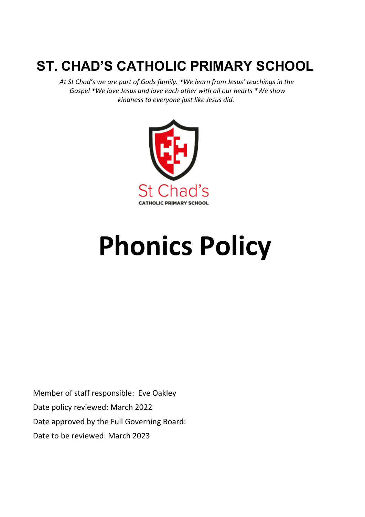# **ST. CHAD'S CATHOLIC PRIMARY SCHOOL**

 *At St Chad's we are part of Gods family. \*We learn from Jesus' teachings in the Gospel \*We love Jesus and love each other with all our hearts \*We show kindness to everyone just like Jesus did.*



# **Phonics Policy**

Member of staff responsible: Eve Oakley Date policy reviewed: March 2022 Date approved by the Full Governing Board: Date to be reviewed: March 2023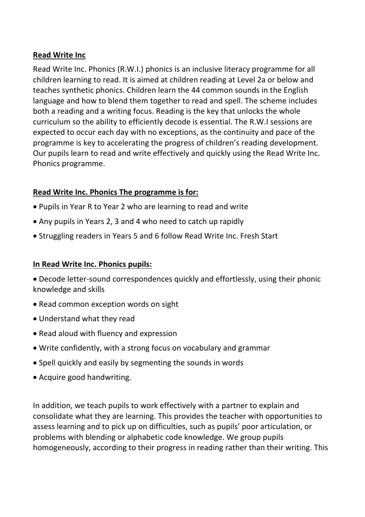#### **Read Write Inc**

Read Write Inc. Phonics (R.W.I.) phonics is an inclusive literacy programme for all children learning to read. It is aimed at children reading at Level 2a or below and teaches synthetic phonics. Children learn the 44 common sounds in the English language and how to blend them together to read and spell. The scheme includes both a reading and a writing focus. Reading is the key that unlocks the whole curriculum so the ability to efficiently decode is essential. The R.W.I sessions are expected to occur each day with no exceptions, as the continuity and pace of the programme is key to accelerating the progress of children's reading development. Our pupils learn to read and write effectively and quickly using the Read Write Inc. Phonics programme.

# **Read Write Inc. Phonics The programme is for:**

- Pupils in Year R to Year 2 who are learning to read and write
- Any pupils in Years 2, 3 and 4 who need to catch up rapidly
- Struggling readers in Years 5 and 6 follow Read Write Inc. Fresh Start

# **In Read Write Inc. Phonics pupils:**

- Decode letter-sound correspondences quickly and effortlessly, using their phonic knowledge and skills
- Read common exception words on sight
- Understand what they read
- Read aloud with fluency and expression
- Write confidently, with a strong focus on vocabulary and grammar
- Spell quickly and easily by segmenting the sounds in words
- Acquire good handwriting.

In addition, we teach pupils to work effectively with a partner to explain and consolidate what they are learning. This provides the teacher with opportunities to assess learning and to pick up on difficulties, such as pupils' poor articulation, or problems with blending or alphabetic code knowledge. We group pupils homogeneously, according to their progress in reading rather than their writing. This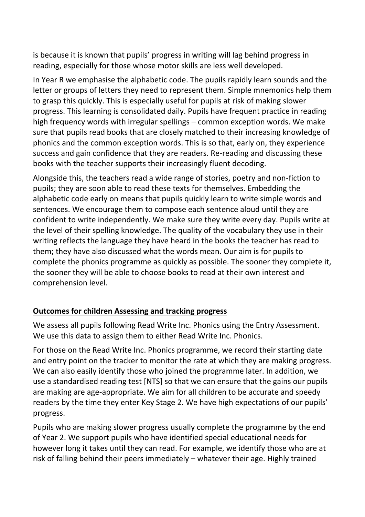is because it is known that pupils' progress in writing will lag behind progress in reading, especially for those whose motor skills are less well developed.

In Year R we emphasise the alphabetic code. The pupils rapidly learn sounds and the letter or groups of letters they need to represent them. Simple mnemonics help them to grasp this quickly. This is especially useful for pupils at risk of making slower progress. This learning is consolidated daily. Pupils have frequent practice in reading high frequency words with irregular spellings – common exception words. We make sure that pupils read books that are closely matched to their increasing knowledge of phonics and the common exception words. This is so that, early on, they experience success and gain confidence that they are readers. Re-reading and discussing these books with the teacher supports their increasingly fluent decoding.

Alongside this, the teachers read a wide range of stories, poetry and non-fiction to pupils; they are soon able to read these texts for themselves. Embedding the alphabetic code early on means that pupils quickly learn to write simple words and sentences. We encourage them to compose each sentence aloud until they are confident to write independently. We make sure they write every day. Pupils write at the level of their spelling knowledge. The quality of the vocabulary they use in their writing reflects the language they have heard in the books the teacher has read to them; they have also discussed what the words mean. Our aim is for pupils to complete the phonics programme as quickly as possible. The sooner they complete it, the sooner they will be able to choose books to read at their own interest and comprehension level.

# **Outcomes for children Assessing and tracking progress**

We assess all pupils following Read Write Inc. Phonics using the Entry Assessment. We use this data to assign them to either Read Write Inc. Phonics.

For those on the Read Write Inc. Phonics programme, we record their starting date and entry point on the tracker to monitor the rate at which they are making progress. We can also easily identify those who joined the programme later. In addition, we use a standardised reading test [NTS] so that we can ensure that the gains our pupils are making are age-appropriate. We aim for all children to be accurate and speedy readers by the time they enter Key Stage 2. We have high expectations of our pupils' progress.

Pupils who are making slower progress usually complete the programme by the end of Year 2. We support pupils who have identified special educational needs for however long it takes until they can read. For example, we identify those who are at risk of falling behind their peers immediately – whatever their age. Highly trained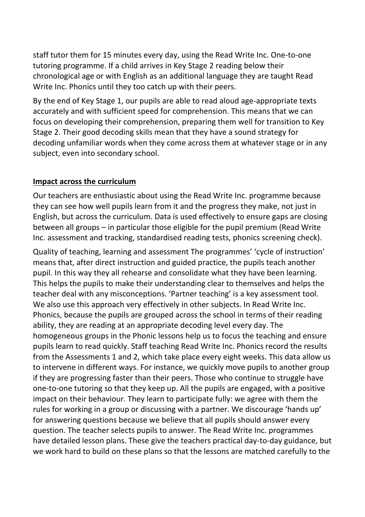staff tutor them for 15 minutes every day, using the Read Write Inc. One-to-one tutoring programme. If a child arrives in Key Stage 2 reading below their chronological age or with English as an additional language they are taught Read Write Inc. Phonics until they too catch up with their peers.

By the end of Key Stage 1, our pupils are able to read aloud age-appropriate texts accurately and with sufficient speed for comprehension. This means that we can focus on developing their comprehension, preparing them well for transition to Key Stage 2. Their good decoding skills mean that they have a sound strategy for decoding unfamiliar words when they come across them at whatever stage or in any subject, even into secondary school.

#### **Impact across the curriculum**

Our teachers are enthusiastic about using the Read Write Inc. programme because they can see how well pupils learn from it and the progress they make, not just in English, but across the curriculum. Data is used effectively to ensure gaps are closing between all groups – in particular those eligible for the pupil premium (Read Write Inc. assessment and tracking, standardised reading tests, phonics screening check).

Quality of teaching, learning and assessment The programmes' 'cycle of instruction' means that, after direct instruction and guided practice, the pupils teach another pupil. In this way they all rehearse and consolidate what they have been learning. This helps the pupils to make their understanding clear to themselves and helps the teacher deal with any misconceptions. 'Partner teaching' is a key assessment tool. We also use this approach very effectively in other subjects. In Read Write Inc. Phonics, because the pupils are grouped across the school in terms of their reading ability, they are reading at an appropriate decoding level every day. The homogeneous groups in the Phonic lessons help us to focus the teaching and ensure pupils learn to read quickly. Staff teaching Read Write Inc. Phonics record the results from the Assessments 1 and 2, which take place every eight weeks. This data allow us to intervene in different ways. For instance, we quickly move pupils to another group if they are progressing faster than their peers. Those who continue to struggle have one-to-one tutoring so that they keep up. All the pupils are engaged, with a positive impact on their behaviour. They learn to participate fully: we agree with them the rules for working in a group or discussing with a partner. We discourage 'hands up' for answering questions because we believe that all pupils should answer every question. The teacher selects pupils to answer. The Read Write Inc. programmes have detailed lesson plans. These give the teachers practical day-to-day guidance, but we work hard to build on these plans so that the lessons are matched carefully to the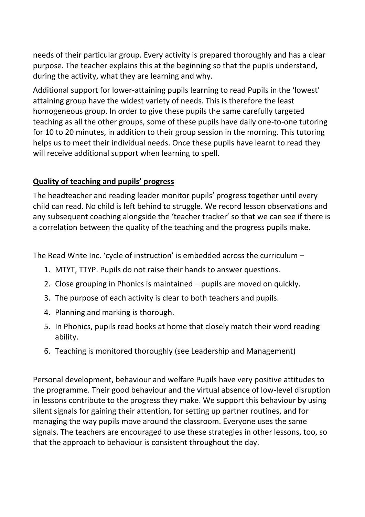needs of their particular group. Every activity is prepared thoroughly and has a clear purpose. The teacher explains this at the beginning so that the pupils understand, during the activity, what they are learning and why.

Additional support for lower-attaining pupils learning to read Pupils in the 'lowest' attaining group have the widest variety of needs. This is therefore the least homogeneous group. In order to give these pupils the same carefully targeted teaching as all the other groups, some of these pupils have daily one-to-one tutoring for 10 to 20 minutes, in addition to their group session in the morning. This tutoring helps us to meet their individual needs. Once these pupils have learnt to read they will receive additional support when learning to spell.

# **Quality of teaching and pupils' progress**

The headteacher and reading leader monitor pupils' progress together until every child can read. No child is left behind to struggle. We record lesson observations and any subsequent coaching alongside the 'teacher tracker' so that we can see if there is a correlation between the quality of the teaching and the progress pupils make.

The Read Write Inc. 'cycle of instruction' is embedded across the curriculum –

- 1. MTYT, TTYP. Pupils do not raise their hands to answer questions.
- 2. Close grouping in Phonics is maintained pupils are moved on quickly.
- 3. The purpose of each activity is clear to both teachers and pupils.
- 4. Planning and marking is thorough.
- 5. In Phonics, pupils read books at home that closely match their word reading ability.
- 6. Teaching is monitored thoroughly (see Leadership and Management)

Personal development, behaviour and welfare Pupils have very positive attitudes to the programme. Their good behaviour and the virtual absence of low-level disruption in lessons contribute to the progress they make. We support this behaviour by using silent signals for gaining their attention, for setting up partner routines, and for managing the way pupils move around the classroom. Everyone uses the same signals. The teachers are encouraged to use these strategies in other lessons, too, so that the approach to behaviour is consistent throughout the day.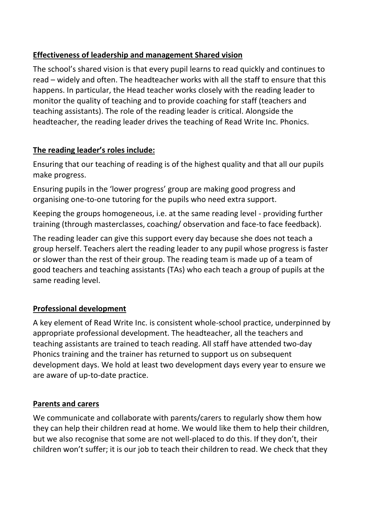# **Effectiveness of leadership and management Shared vision**

The school's shared vision is that every pupil learns to read quickly and continues to read – widely and often. The headteacher works with all the staff to ensure that this happens. In particular, the Head teacher works closely with the reading leader to monitor the quality of teaching and to provide coaching for staff (teachers and teaching assistants). The role of the reading leader is critical. Alongside the headteacher, the reading leader drives the teaching of Read Write Inc. Phonics.

# **The reading leader's roles include:**

Ensuring that our teaching of reading is of the highest quality and that all our pupils make progress.

Ensuring pupils in the 'lower progress' group are making good progress and organising one-to-one tutoring for the pupils who need extra support.

Keeping the groups homogeneous, i.e. at the same reading level - providing further training (through masterclasses, coaching/ observation and face-to face feedback).

The reading leader can give this support every day because she does not teach a group herself. Teachers alert the reading leader to any pupil whose progress is faster or slower than the rest of their group. The reading team is made up of a team of good teachers and teaching assistants (TAs) who each teach a group of pupils at the same reading level.

# **Professional development**

A key element of Read Write Inc. is consistent whole-school practice, underpinned by appropriate professional development. The headteacher, all the teachers and teaching assistants are trained to teach reading. All staff have attended two-day Phonics training and the trainer has returned to support us on subsequent development days. We hold at least two development days every year to ensure we are aware of up-to-date practice.

# **Parents and carers**

We communicate and collaborate with parents/carers to regularly show them how they can help their children read at home. We would like them to help their children, but we also recognise that some are not well-placed to do this. If they don't, their children won't suffer; it is our job to teach their children to read. We check that they